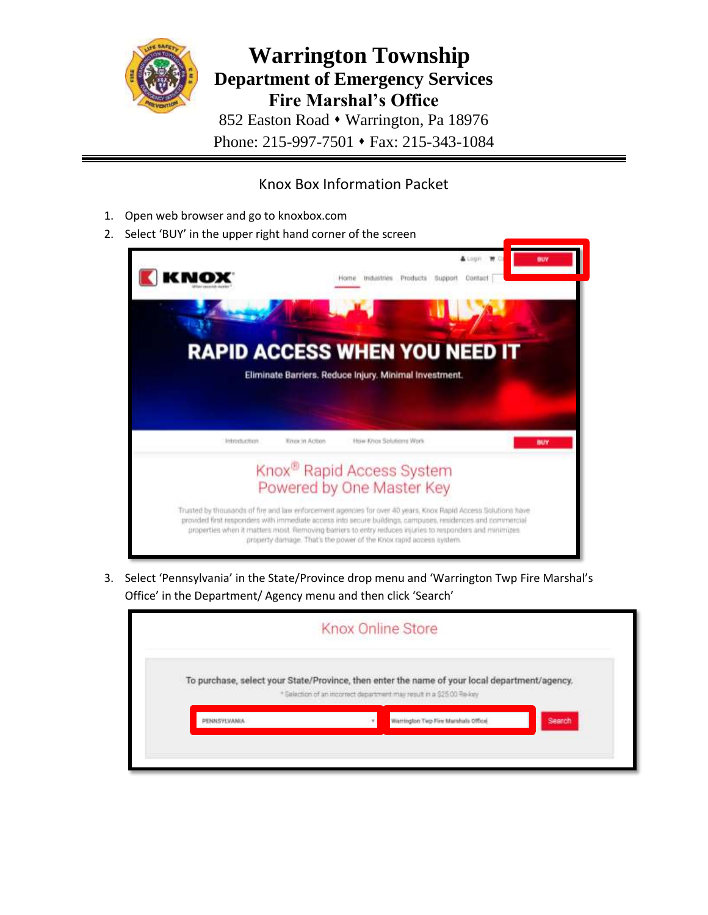

## Knox Box Information Packet

- 1. Open web browser and go to knoxbox.com
- 2. Select 'BUY' in the upper right hand corner of the screen



3. Select 'Pennsylvania' in the State/Province drop menu and 'Warrington Twp Fire Marshal's Office' in the Department/ Agency menu and then click 'Search'

|  |  | Knox Online Store                                                                                                                                                      |  |  |        |
|--|--|------------------------------------------------------------------------------------------------------------------------------------------------------------------------|--|--|--------|
|  |  | To purchase, select your State/Province, then enter the name of your local department/agency.<br>* Selection of an incorrect department may result in a \$25.00 Re-key |  |  |        |
|  |  | Warrington Twp Fire Mamhala Office                                                                                                                                     |  |  |        |
|  |  |                                                                                                                                                                        |  |  | Search |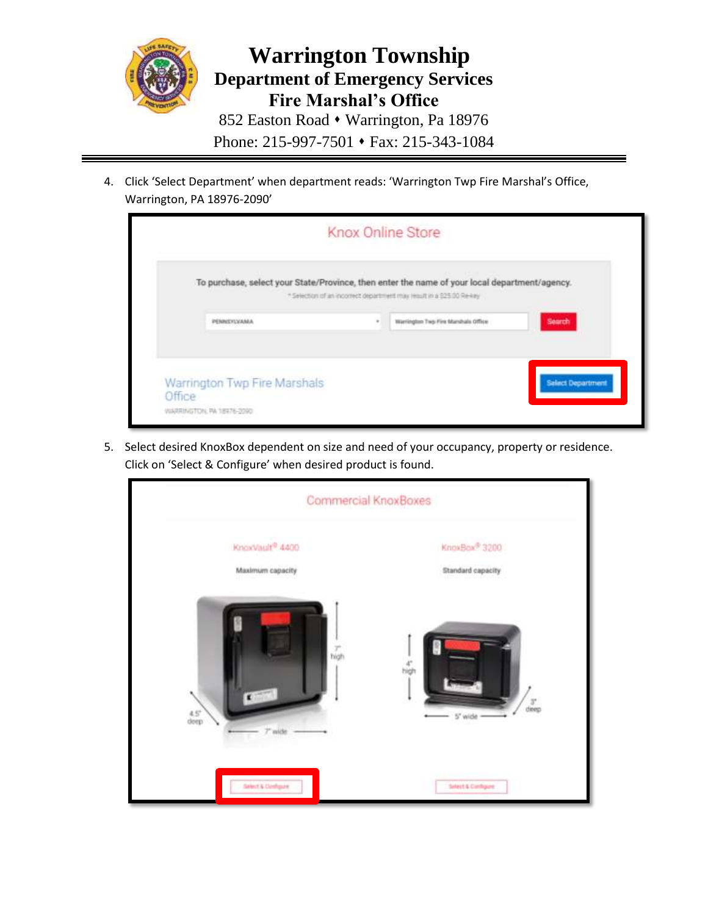

4. Click 'Select Department' when department reads: 'Warrington Twp Fire Marshal's Office, Warrington, PA 18976-2090'

|                                                                                               | <b>Knox Online Store</b> |                                                                       |                          |
|-----------------------------------------------------------------------------------------------|--------------------------|-----------------------------------------------------------------------|--------------------------|
| To purchase, select your State/Province, then enter the name of your local department/agency. |                          | * Selection of an incorrect department may result in a \$25.00 Re-key |                          |
| PENNSYLVANIA                                                                                  | ٠                        | Warrington Twp Fire Manshalo Office                                   | Search                   |
|                                                                                               |                          |                                                                       |                          |
| Warrington Twp Fire Marshals                                                                  |                          |                                                                       | <b>Select Department</b> |
| Office<br>VIARRINGTON, PA 18976-2290                                                          |                          |                                                                       |                          |

5. Select desired KnoxBox dependent on size and need of your occupancy, property or residence. Click on 'Select & Configure' when desired product is found.

| Commercial KnoxBoxes     |                                    |  |  |  |  |
|--------------------------|------------------------------------|--|--|--|--|
| KnoxVault® 4400          | KnoxBox <sup>®</sup> 3200          |  |  |  |  |
| Maximum capacity         | Standard capacity                  |  |  |  |  |
| $\overline{right}$       | $\frac{4^n}{nigh}$                 |  |  |  |  |
| $rac{4.5^{\circ}}{degp}$ | $\frac{3^{\circ}}{\text{dump}}$    |  |  |  |  |
| $\mathcal T$ wide        | $5^{\circ}$ wide $\longrightarrow$ |  |  |  |  |
| Select & Configure       | Select & Configure                 |  |  |  |  |